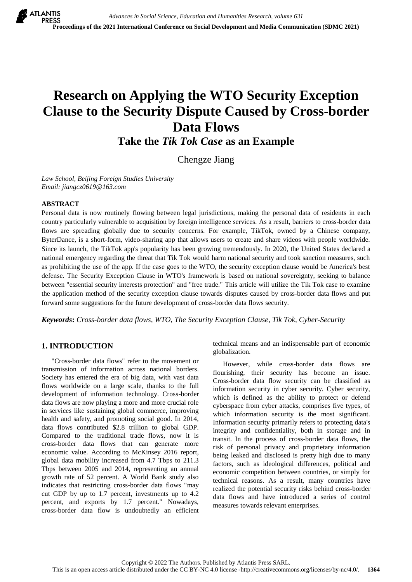# **Research on Applying the WTO Security Exception Clause to the Security Dispute Caused by Cross-border Data Flows**

**Take the** *Tik Tok Case* **as an Example**

Chengze Jiang

*Law School, Beijing Foreign Studies University Email: jiangcz0619@163.com*

#### **ABSTRACT**

Personal data is now routinely flowing between legal jurisdictions, making the personal data of residents in each country particularly vulnerable to acquisition by foreign intelligence services. As a result, barriers to cross-border data flows are spreading globally due to security concerns. For example, TikTok, owned by a Chinese company, ByterDance, is a short-form, video-sharing app that allows users to create and share videos with people worldwide. Since its launch, the TikTok app's popularity has been growing tremendously. In 2020, the United States declared a national emergency regarding the threat that Tik Tok would harm national security and took sanction measures, such as prohibiting the use of the app. If the case goes to the WTO, the security exception clause would be America's best defense. The Security Exception Clause in WTO's framework is based on national sovereignty, seeking to balance between "essential security interests protection" and "free trade." This article will utilize the Tik Tok case to examine the application method of the security exception clause towards disputes caused by cross-border data flows and put forward some suggestions for the future development of cross-border data flows security.

*Keywords***:** *Cross-border data flows, WTO, The Security Exception Clause, Tik Tok, Cyber-Security*

# **1. INTRODUCTION**

"Cross-border data flows" refer to the movement or transmission of information across national borders. Society has entered the era of big data, with vast data flows worldwide on a large scale, thanks to the full development of information technology. Cross-border data flows are now playing a more and more crucial role in services like sustaining global commerce, improving health and safety, and promoting social good. In 2014, data flows contributed \$2.8 trillion to global GDP. Compared to the traditional trade flows, now it is cross-border data flows that can generate more economic value. According to McKinsey 2016 report, global data mobility increased from 4.7 Tbps to 211.3 Tbps between 2005 and 2014, representing an annual growth rate of 52 percent. A World Bank study also indicates that restricting cross-border data flows "may cut GDP by up to 1.7 percent, investments up to 4.2 percent, and exports by 1.7 percent." Nowadays, cross-border data flow is undoubtedly an efficient technical means and an indispensable part of economic globalization.

However, while cross-border data flows are flourishing, their security has become an issue. Cross-border data flow security can be classified as information security in cyber security. Cyber security, which is defined as the ability to protect or defend cyberspace from cyber attacks, comprises five types, of which information security is the most significant. Information security primarily refers to protecting data's integrity and confidentiality, both in storage and in transit. In the process of cross-border data flows, the risk of personal privacy and proprietary information being leaked and disclosed is pretty high due to many factors, such as ideological differences, political and economic competition between countries, or simply for technical reasons. As a result, many countries have realized the potential security risks behind cross-border data flows and have introduced a series of control measures towards relevant enterprises.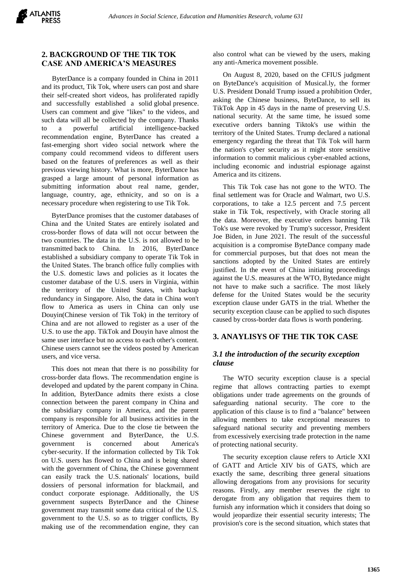### **2. BACKGROUND OF THE TIK TOK CASE AND AMERICA'S MEASURES**

ByterDance is a company founded in China in 2011 and its product, Tik Tok, where users can post and share their self-created short videos, has proliferated rapidly and successfully established a solid global presence. Users can comment and give "likes" to the videos, and such data will all be collected by the company. Thanks to a powerful artificial intelligence-backed recommendation engine, ByterDance has created a fast-emerging short video social network where the company could recommend videos to different users based on the features of preferences as well as their previous viewing history. What is more, ByterDance has grasped a large amount of personal information as submitting information about real name, gender, language, country, age, ethnicity, and so on is a necessary procedure when registering to use Tik Tok.

ByterDance promises that the customer databases of China and the United States are entirely isolated and cross-border flows of data will not occur between the two countries. The data in the U.S. is not allowed to be transmitted back to China. In 2016, ByterDance established a subsidiary company to operate Tik Tok in the United States. The branch office fully complies with the U.S. domestic laws and policies as it locates the customer database of the U.S. users in Virginia, within the territory of the United States, with backup redundancy in Singapore. Also, the data in China won't flow to America as users in China can only use Douyin(Chinese version of Tik Tok) in the territory of China and are not allowed to register as a user of the U.S. to use the app. TikTok and Douyin have almost the same user interface but no access to each other's content. Chinese users cannot see the videos posted by American users, and vice versa.

This does not mean that there is no possibility for cross-border data flows. The recommendation engine is developed and updated by the parent company in China. In addition, ByterDance admits there exists a close connection between the parent company in China and the subsidiary company in America, and the parent company is responsible for all business activities in the territory of America. Due to the close tie between the Chinese government and ByterDance, the U.S. government is concerned about America's cyber-security. If the information collected by Tik Tok on U.S. users has flowed to China and is being shared with the government of China, the Chinese government can easily track the U.S. nationals' locations, build dossiers of personal information for blackmail, and conduct corporate espionage. Additionally, the US government suspects ByterDance and the Chinese government may transmit some data critical of the U.S. government to the U.S. so as to trigger conflicts, By making use of the recommendation engine, they can

also control what can be viewed by the users, making any anti-America movement possible.

On August 8, 2020, based on the CFIUS judgment on ByteDance's acquisition of Musical.ly, the former U.S. President Donald Trump issued a prohibition Order, asking the Chinese business, ByteDance, to sell its TikTok App in 45 days in the name of preserving U.S. national security. At the same time, he issued some executive orders banning Tiktok's use within the territory of the United States. Trump declared a national emergency regarding the threat that Tik Tok will harm the nation's cyber security as it might store sensitive information to commit malicious cyber-enabled actions, including economic and industrial espionage against America and its citizens.

This Tik Tok case has not gone to the WTO. The final settlement was for Oracle and Walmart, two U.S. corporations, to take a 12.5 percent and 7.5 percent stake in Tik Tok, respectively, with Oracle storing all the data. Moreover, the executive orders banning Tik Tok's use were revoked by Trump's successor, President Joe Biden, in June 2021. The result of the successful acquisition is a compromise ByteDance company made for commercial purposes, but that does not mean the sanctions adopted by the United States are entirely justified. In the event of China initiating proceedings against the U.S. measures at the WTO, Bytedance might not have to make such a sacrifice. The most likely defense for the United States would be the security exception clause under GATS in the trial. Whether the security exception clause can be applied to such disputes caused by cross-border data flows is worth pondering.

### **3. ANAYLISYS OF THE TIK TOK CASE**

# *3.1 the introduction of the security exception clause*

The WTO security exception clause is a special regime that allows contracting parties to exempt obligations under trade agreements on the grounds of safeguarding national security. The core to the application of this clause is to find a "balance" between allowing members to take exceptional measures to safeguard national security and preventing members from excessively exercising trade protection in the name of protecting national security.

The security exception clause refers to Article XXI of GATT and Article XIV bis of GATS, which are exactly the same, describing three general situations allowing derogations from any provisions for security reasons. Firstly, any member reserves the right to derogate from any obligation that requires them to furnish any information which it considers that doing so would jeopardize their essential security interests; The provision's core is the second situation, which states that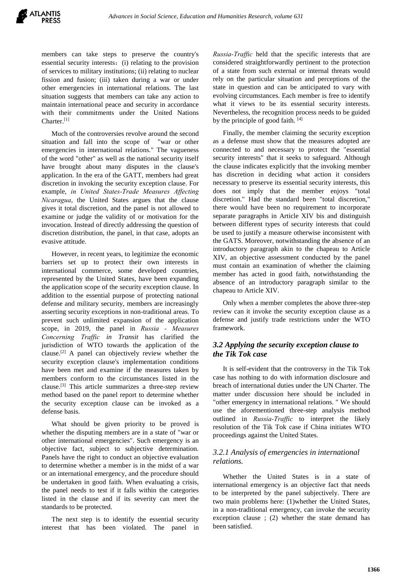members can take steps to preserve the country's essential security interests: (i) relating to the provision of services to military institutions; (ii) relating to nuclear fission and fusion; (iii) taken during a war or under other emergencies in international relations. The last situation suggests that members can take any action to maintain international peace and security in accordance with their commitments under the United Nations Charter.[1]

Much of the controversies revolve around the second situation and fall into the scope of "war or other emergencies in international relations." The vagueness of the word "other" as well as the national security itself have brought about many disputes in the clause's application. In the era of the GATT, members had great discretion in invoking the security exception clause. For example, *in United States-Trade Measures Affecting Nicaragua*, the United States argues that the clause gives it total discretion, and the panel is not allowed to examine or judge the validity of or motivation for the invocation. Instead of directly addressing the question of discretion distribution, the panel, in that case, adopts an evasive attitude.

However, in recent years, to legitimize the economic barriers set up to protect their own interests in international commerce, some developed countries, represented by the United States, have been expanding the application scope of the security exception clause. In addition to the essential purpose of protecting national defense and military security, members are increasingly asserting security exceptions in non-traditional areas. To prevent such unlimited expansion of the application scope, in 2019, the panel in *Russia - Measures Concerning Traffic in Transit* has clarified the jurisdiction of WTO towards the application of the clause.[2] A panel can objectively review whether the security exception clause's implementation conditions have been met and examine if the measures taken by members conform to the circumstances listed in the clause.[3] This article summarizes a three-step review method based on the panel report to determine whether the security exception clause can be invoked as a defense basis.

What should be given priority to be proved is whether the disputing members are in a state of "war or other international emergencies". Such emergency is an objective fact, subject to subjective determination. Panels have the right to conduct an objective evaluation to determine whether a member is in the midst of a war or an international emergency, and the procedure should be undertaken in good faith. When evaluating a crisis, the panel needs to test if it falls within the categories listed in the clause and if its severity can meet the standards to be protected.

The next step is to identify the essential security interest that has been violated. The panel in *Russia-Traffic* held that the specific interests that are considered straightforwardly pertinent to the protection of a state from such external or internal threats would rely on the particular situation and perceptions of the state in question and can be anticipated to vary with evolving circumstances. Each member is free to identify what it views to be its essential security interests. Nevertheless, the recognition process needs to be guided by the principle of good faith. [4]

Finally, the member claiming the security exception as a defense must show that the measures adopted are connected to and necessary to protect the "essential security interests" that it seeks to safeguard. Although the clause indicates explicitly that the invoking member has discretion in deciding what action it considers necessary to preserve its essential security interests, this does not imply that the member enjoys "total discretion." Had the standard been "total discretion," there would have been no requirement to incorporate separate paragraphs in Article XIV bis and distinguish between different types of security interests that could be used to justify a measure otherwise inconsistent with the GATS. Moreover, notwithstanding the absence of an introductory paragraph akin to the chapeau to Article XIV, an objective assessment conducted by the panel must contain an examination of whether the claiming member has acted in good faith, notwithstanding the absence of an introductory paragraph similar to the chapeau to Article XIV.

Only when a member completes the above three-step review can it invoke the security exception clause as a defense and justify trade restrictions under the WTO framework.

### *3.2 Applying the security exception clause to the Tik Tok case*

It is self-evident that the controversy in the Tik Tok case has nothing to do with information disclosure and breach of international duties under the UN Charter. The matter under discussion here should be included in "other emergency in international relations. " We should use the aforementioned three-step analysis method outlined in *Russia-Traffic* to interpret the likely resolution of the Tik Tok case if China initiates WTO proceedings against the United States.

### *3.2.1 Analysis of emergencies in international relations.*

Whether the United States is in a state of international emergency is an objective fact that needs to be interpreted by the panel subjectively. There are two main problems here: (1)whether the United States, in a non-traditional emergency, can invoke the security exception clause ; (2) whether the state demand has been satisfied.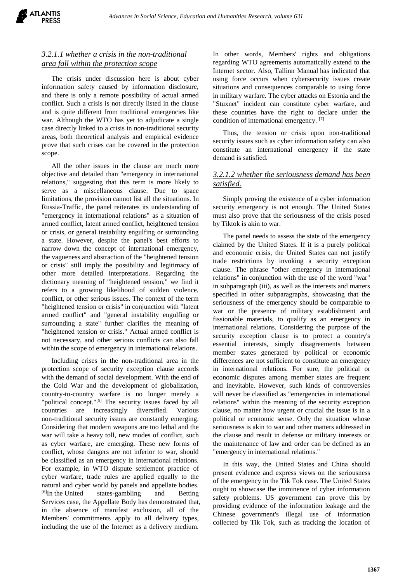

### *3.2.1.1 whether a crisis in the non-traditional area fall within the protection scope*

The crisis under discussion here is about cyber information safety caused by information disclosure, and there is only a remote possibility of actual armed conflict. Such a crisis is not directly listed in the clause and is quite different from traditional emergencies like war. Although the WTO has yet to adjudicate a single case directly linked to a crisis in non-traditional security areas, both theoretical analysis and empirical evidence prove that such crises can be covered in the protection scope.

All the other issues in the clause are much more objective and detailed than "emergency in international relations," suggesting that this term is more likely to serve as a miscellaneous clause. Due to space limitations, the provision cannot list all the situations. In Russia-Traffic, the panel reiterates its understanding of "emergency in international relations" as a situation of armed conflict, latent armed conflict, heightened tension or crisis, or general instability engulfing or surrounding a state. However, despite the panel's best efforts to narrow down the concept of international emergency, the vagueness and abstraction of the "heightened tension or crisis" still imply the possibility and legitimacy of other more detailed interpretations. Regarding the dictionary meaning of "heightened tension," we find it refers to a growing likelihood of sudden violence, conflict, or other serious issues. The context of the term "heightened tension or crisis" in conjunction with "latent armed conflict" and "general instability engulfing or surrounding a state" further clarifies the meaning of "heightened tension or crisis." Actual armed conflict is not necessary, and other serious conflicts can also fall within the scope of emergency in international relations.

Including crises in the non-traditional area in the protection scope of security exception clause accords with the demand of social development. With the end of the Cold War and the development of globalization, country-to-country warfare is no longer merely a "political concept."<sup>[5]</sup> The security issues faced by all countries are increasingly diversified. Various non-traditional security issues are constantly emerging. Considering that modern weapons are too lethal and the war will take a heavy toll, new modes of conflict, such as cyber warfare, are emerging. These new forms of conflict, whose dangers are not inferior to war, should be classified as an emergency in international relations. For example, in WTO dispute settlement practice of cyber warfare, trade rules are applied equally to the natural and cyber world by panels and appellate bodies. [6]In the United states-gambling and Betting Services case, the Appellate Body has demonstrated that, in the absence of manifest exclusion, all of the Members' commitments apply to all delivery types, including the use of the Internet as a delivery medium.

In other words, Members' rights and obligations regarding WTO agreements automatically extend to the Internet sector. Also, Tallinn Manual has indicated that using force occurs when cybersecurity issues create situations and consequences comparable to using force in military warfare. The cyber attacks on Estonia and the "Stuxnet" incident can constitute cyber warfare, and these countries have the right to declare under the condition of international emergency. [7]

Thus, the tension or crisis upon non-traditional security issues such as cyber information safety can also constitute an international emergency if the state demand is satisfied.

#### *3.2.1.2 whether the seriousness demand has been satisfied.*

Simply proving the existence of a cyber information security emergency is not enough. The United States must also prove that the seriousness of the crisis posed by Tiktok is akin to war.

The panel needs to assess the state of the emergency claimed by the United States. If it is a purely political and economic crisis, the United States can not justify trade restrictions by invoking a security exception clause. The phrase "other emergency in international relations" in conjunction with the use of the word "war" in subparagraph (iii), as well as the interests and matters specified in other subparagraphs, showcasing that the seriousness of the emergency should be comparable to war or the presence of military establishment and fissionable materials, to qualify as an emergency in international relations. Considering the purpose of the security exception clause is to protect a country's essential interests, simply disagreements between member states generated by political or economic differences are not sufficient to constitute an emergency in international relations. For sure, the political or economic disputes among member states are frequent and inevitable. However, such kinds of controversies will never be classified as "emergencies in international relations" within the meaning of the security exception clause, no matter how urgent or crucial the issue is in a political or economic sense. Only the situation whose seriousness is akin to war and other matters addressed in the clause and result in defense or military interests or the maintenance of law and order can be defined as an "emergency in international relations."

In this way, the United States and China should present evidence and express views on the seriousness of the emergency in the Tik Tok case. The United States ought to showcase the imminence of cyber information safety problems. US government can prove this by providing evidence of the information leakage and the Chinese government's illegal use of information collected by Tik Tok, such as tracking the location of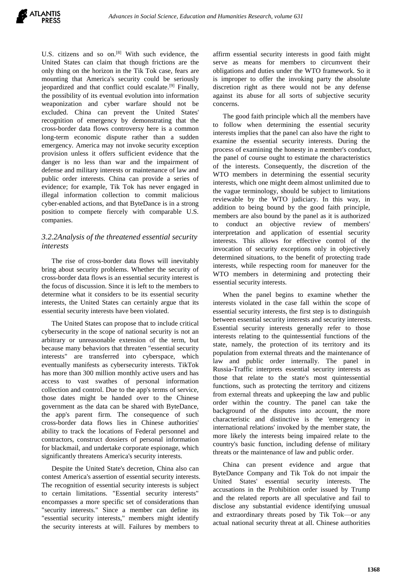U.S. citizens and so on.<sup>[8]</sup> With such evidence, the United States can claim that though frictions are the only thing on the horizon in the Tik Tok case, fears are mounting that America's security could be seriously jeopardized and that conflict could escalate.[9] Finally, the possibility of its eventual evolution into information weaponization and cyber warfare should not be excluded. China can prevent the United States' recognition of emergency by demonstrating that the cross-border data flows controversy here is a common long-term economic dispute rather than a sudden emergency. America may not invoke security exception provision unless it offers sufficient evidence that the danger is no less than war and the impairment of defense and military interests or maintenance of law and public order interests. China can provide a series of evidence; for example, Tik Tok has never engaged in illegal information collection to commit malicious cyber-enabled actions, and that ByteDance is in a strong position to compete fiercely with comparable U.S. companies.

## *3.2.2Analysis of the threatened essential security interests*

The rise of cross-border data flows will inevitably bring about security problems. Whether the security of cross-border data flows is an essential security interest is the focus of discussion. Since it is left to the members to determine what it considers to be its essential security interests, the United States can certainly argue that its essential security interests have been violated.

The United States can propose that to include critical cybersecurity in the scope of national security is not an arbitrary or unreasonable extension of the term, but because many behaviors that threaten "essential security interests" are transferred into cyberspace, which eventually manifests as cybersecurity interests. TikTok has more than 300 million monthly active users and has access to vast swathes of personal information collection and control. Due to the app's terms of service, those dates might be handed over to the Chinese government as the data can be shared with ByteDance, the app's parent firm. The consequence of such cross-border data flows lies in Chinese authorities' ability to track the locations of Federal personnel and contractors, construct dossiers of personal information for blackmail, and undertake corporate espionage, which significantly threatens America's security interests.

Despite the United State's decretion, China also can contest America's assertion of essential security interests. The recognition of essential security interests is subject to certain limitations. "Essential security interests" encompasses a more specific set of considerations than "security interests." Since a member can define its "essential security interests," members might identify the security interests at will. Failures by members to

affirm essential security interests in good faith might serve as means for members to circumvent their obligations and duties under the WTO framework. So it is improper to offer the invoking party the absolute discretion right as there would not be any defense against its abuse for all sorts of subjective security concerns.

The good faith principle which all the members have to follow when determining the essential security interests implies that the panel can also have the right to examine the essential security interests. During the process of examining the honesty in a member's conduct, the panel of course ought to estimate the characteristics of the interests. Consequently, the discretion of the WTO members in determining the essential security interests, which one might deem almost unlimited due to the vague terminology, should be subject to limitations reviewable by the WTO judiciary. In this way, in addition to being bound by the good faith principle, members are also bound by the panel as it is authorized to conduct an objective review of members' interpretation and application of essential security interests. This allows for effective control of the invocation of security exceptions only in objectively determined situations, to the benefit of protecting trade interests, while respecting room for maneuver for the WTO members in determining and protecting their essential security interests.

When the panel begins to examine whether the interests violated in the case fall within the scope of essential security interests, the first step is to distinguish between essential security interests and security interests. Essential security interests generally refer to those interests relating to the quintessential functions of the state, namely, the protection of its territory and its population from external threats and the maintenance of law and public order internally. The panel in Russia-Traffic interprets essential security interests as those that relate to the state's most quintessential functions, such as protecting the territory and citizens from external threats and upkeeping the law and public order within the country. The panel can take the background of the disputes into account, the more characteristic and distinctive is the 'emergency in international relations' invoked by the member state, the more likely the interests being impaired relate to the country's basic function, including defense of military threats or the maintenance of law and public order.

China can present evidence and argue that ByteDance Company and Tik Tok do not impair the United States' essential security interests. The accusations in the Prohibition order issued by Trump and the related reports are all speculative and fail to disclose any substantial evidence identifying unusual and extraordinary threats posed by Tik Tok—or any actual national security threat at all. Chinese authorities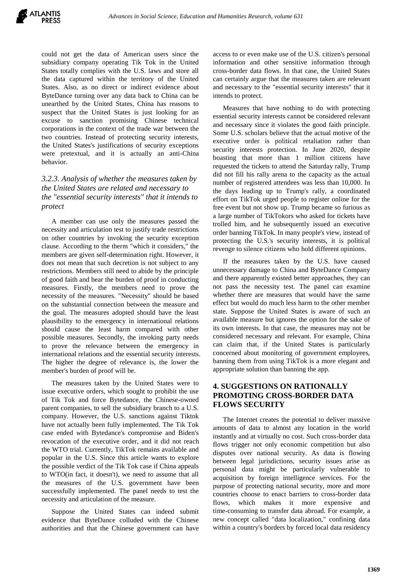could not get the data of American users since the subsidiary company operating Tik Tok in the United States totally complies with the U.S. laws and store all the data captured within the territory of the United States. Also, as no direct or indirect evidence about ByteDance turning over any data back to China can be unearthed by the United States, China has reasons to suspect that the United States is just looking for an excuse to sanction promising Chinese technical corporations in the context of the trade war between the two countries. Instead of protecting security interests, the United States's justifications of security exceptions were pretextual, and it is actually an anti-China behavior.

# *3.2.3. Analysis of whether the measures taken by the United States are related and necessary to the "essential security interests" that it intends to protect*

A member can use only the measures passed the necessity and articulation test to justify trade restrictions on other countries by invoking the security exception clause. According to the therm "which it considers," the members are given self-determination right. However, it does not mean that such decretion is not subject to any restrictions. Members still need to abide by the principle of good faith and bear the burden of proof in conducting measures. Firstly, the members need to prove the necessity of the measures. "Necessity" should be based on the substantial connection between the measure and the goal. The measures adopted should have the least plausibility to the emergency in international relations should cause the least harm compared with other possible measures. Secondly, the invoking party needs to prove the relevance between the emergency in international relations and the essential security interests. The higher the degree of relevance is, the lower the member's burden of proof will be.

The measures taken by the United States were to issue executive orders, which sought to prohibit the use of Tik Tok and force Bytedance, the Chinese-owned parent companies, to sell the subsidiary branch to a U.S. company. However, the U.S. sanctions against Tiktok have not actually been fully implemented. The Tik Tok case ended with Bytedance's compromise and Biden's revocation of the executive order, and it did not reach the WTO trial. Currently, TikTok remains available and popular in the U.S. Since this article wants to explore the possible verdict of the Tik Tok case if China appeals to WTO(in fact, it doesn't), we need to assume that all the measures of the U.S. government have been successfully implemented. The panel needs to test the necessity and articulation of the measure.

Suppose the United States can indeed submit evidence that ByteDance colluded with the Chinese authorities and that the Chinese government can have

access to or even make use of the U.S. citizen's personal information and other sensitive information through cross-border data flows. In that case, the United States can certainly argue that the measures taken are relevant and necessary to the "essential security interests" that it intends to protect.

Measures that have nothing to do with protecting essential security interests cannot be considered relevant and necessary since it violates the good faith principle. Some U.S. scholars believe that the actual motive of the executive order is political retaliation rather than security interests protection. In June 2020, despite boasting that more than 1 million citizens have requested the tickets to attend the Saturday rally, Trump did not fill his rally arena to the capacity as the actual number of registered attendees was less than 10,000. In the days leading up to Trump's rally, a coordinated effort on TikTok urged people to register online for the free event but not show up. Trump became so furious as a large number of TikTokors who asked for tickets have trolled him, and he subsequently issued an executive order banning TikTok. In many people's view, instead of protecting the U.S.'s security interests, it is political revenge to silence citizens who hold different opinions.

If the measures taken by the U.S. have caused unnecessary damage to China and ByteDance Company and there apparently existed better approaches, they can not pass the necessity test. The panel can examine whether there are measures that would have the same effect but would do much less harm to the other member state. Suppose the United States is aware of such an available measure but ignores the option for the sake of its own interests. In that case, the measures may not be considered necessary and relevant. For example, China can claim that, if the United States is particularly concerned about monitoring of government employees, banning them from using TikTok is a more elegant and appropriate solution than banning the app.

## **4. SUGGESTIONS ON RATIONALLY PROMOTING CROSS-BORDER DATA FLOWS SECURITY**

The Internet creates the potential to deliver massive amounts of data to almost any location in the world instantly and at virtually no cost. Such cross-border data flows trigger not only economic competition but also disputes over national security. As data is flowing between legal jurisdictions, security issues arise as personal data might be particularly vulnerable to acquisition by foreign intelligence services. For the purpose of protecting national security, more and more countries choose to enact barriers to cross-border data flows, which makes it more expensive and time-consuming to transfer data abroad. For example, a new concept called "data localization," confining data within a country's borders by forced local data residency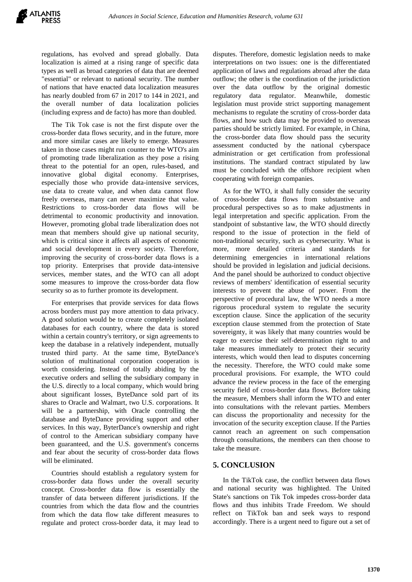regulations, has evolved and spread globally. Data localization is aimed at a rising range of specific data types as well as broad categories of data that are deemed "essential" or relevant to national security. The number of nations that have enacted data localization measures has nearly doubled from 67 in 2017 to 144 in 2021, and the overall number of data localization policies (including express and de facto) has more than doubled.

The Tik Tok case is not the first dispute over the cross-border data flows security, and in the future, more and more similar cases are likely to emerge. Measures taken in those cases might run counter to the WTO's aim of promoting trade liberalization as they pose a rising threat to the potential for an open, rules-based, and innovative global digital economy. Enterprises, especially those who provide data-intensive services, use data to create value, and when data cannot flow freely overseas, many can never maximize that value. Restrictions to cross-border data flows will be detrimental to economic productivity and innovation. However, promoting global trade liberalization does not mean that members should give up national security, which is critical since it affects all aspects of economic and social development in every society. Therefore, improving the security of cross-border data flows is a top priority. Enterprises that provide data-intensive services, member states, and the WTO can all adopt some measures to improve the cross-border data flow security so as to further promote its development.

For enterprises that provide services for data flows across borders must pay more attention to data privacy. A good solution would be to create completely isolated databases for each country, where the data is stored within a certain country's territory, or sign agreements to keep the database in a relatively independent, mutually trusted third party. At the same time, ByteDance's solution of multinational corporation cooperation is worth considering. Instead of totally abiding by the executive orders and selling the subsidiary company in the U.S. directly to a local company, which would bring about significant losses, ByteDance sold part of its shares to Oracle and Walmart, two U.S. corporations. It will be a partnership, with Oracle controlling the database and ByteDance providing support and other services. In this way, ByterDance's ownership and right of control to the American subsidiary company have been guaranteed, and the U.S. government's concerns and fear about the security of cross-border data flows will be eliminated.

Countries should establish a regulatory system for cross-border data flows under the overall security concept. Cross-border data flow is essentially the transfer of data between different jurisdictions. If the countries from which the data flow and the countries from which the data flow take different measures to regulate and protect cross-border data, it may lead to disputes. Therefore, domestic legislation needs to make interpretations on two issues: one is the differentiated application of laws and regulations abroad after the data outflow; the other is the coordination of the jurisdiction over the data outflow by the original domestic regulatory data regulator. Meanwhile, domestic legislation must provide strict supporting management mechanisms to regulate the scrutiny of cross-border data flows, and how such data may be provided to overseas parties should be strictly limited. For example, in China, the cross-border data flow should pass the security assessment conducted by the national cyberspace administration or get certification from professional institutions. The standard contract stipulated by law must be concluded with the offshore recipient when cooperating with foreign companies.

As for the WTO, it shall fully consider the security of cross-border data flows from substantive and procedural perspectives so as to make adjustments in legal interpretation and specific application. From the standpoint of substantive law, the WTO should directly respond to the issue of protection in the field of non-traditional security, such as cybersecurity. What is more, more detailed criteria and standards for determining emergencies in international relations should be provided in legislation and judicial decisions. And the panel should be authorized to conduct objective reviews of members' identification of essential security interests to prevent the abuse of power. From the perspective of procedural law, the WTO needs a more rigorous procedural system to regulate the security exception clause. Since the application of the security exception clause stemmed from the protection of State sovereignty, it was likely that many countries would be eager to exercise their self-determination right to and take measures immediately to protect their security interests, which would then lead to disputes concerning the necessity. Therefore, the WTO could make some procedural provisions. For example, the WTO could advance the review process in the face of the emerging security field of cross-border data flows. Before taking the measure, Members shall inform the WTO and enter into consultations with the relevant parties. Members can discuss the proportionality and necessity for the invocation of the security exception clause. If the Parties cannot reach an agreement on such compensation through consultations, the members can then choose to take the measure.

### **5. CONCLUSION**

In the TikTok case, the conflict between data flows and national security was highlighted. The United State's sanctions on Tik Tok impedes cross-border data flows and thus inhibits Trade Freedom. We should reflect on TikTok ban and seek ways to respond accordingly. There is a urgent need to figure out a set of